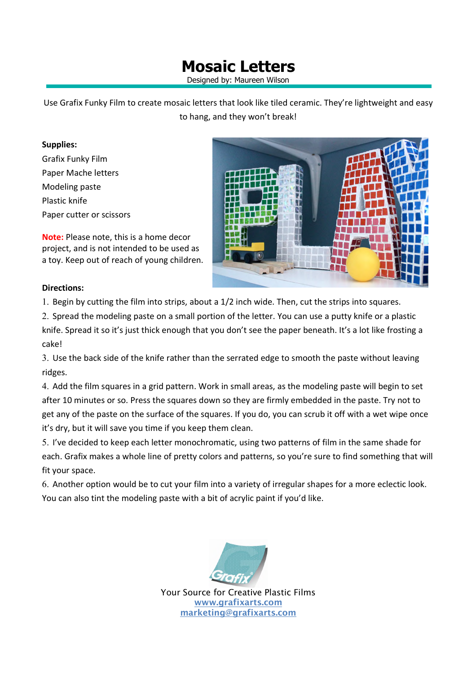## **Mosaic Letters**

Designed by: Maureen Wilson

Use Grafix Funky Film to create mosaic letters that look like tiled ceramic. They're lightweight and easy to hang, and they won't break!

## **Supplies:**

Grafix Funky Film Paper Mache letters Modeling paste Plastic knife Paper cutter or scissors

**Note:** Please note, this is a home decor project, and is not intended to be used as a toy. Keep out of reach of young children.



## **Directions:**

1. Begin by cutting the film into strips, about a 1/2 inch wide. Then, cut the strips into squares.

2. Spread the modeling paste on a small portion of the letter. You can use a putty knife or a plastic knife. Spread it so it's just thick enough that you don't see the paper beneath. It's a lot like frosting a cake!

3. Use the back side of the knife rather than the serrated edge to smooth the paste without leaving ridges.

4. Add the film squares in a grid pattern. Work in small areas, as the modeling paste will begin to set after 10 minutes or so. Press the squares down so they are firmly embedded in the paste. Try not to get any of the paste on the surface of the squares. If you do, you can scrub it off with a wet wipe once it's dry, but it will save you time if you keep them clean.

5. I've decided to keep each letter monochromatic, using two patterns of film in the same shade for each. Grafix makes a whole line of pretty colors and patterns, so you're sure to find something that will fit your space.

6. Another option would be to cut your film into a variety of irregular shapes for a more eclectic look. You can also tint the modeling paste with a bit of acrylic paint if you'd like.



Your Source for Creative Plastic Films **www.grafixarts.com marketing@grafixarts.com**